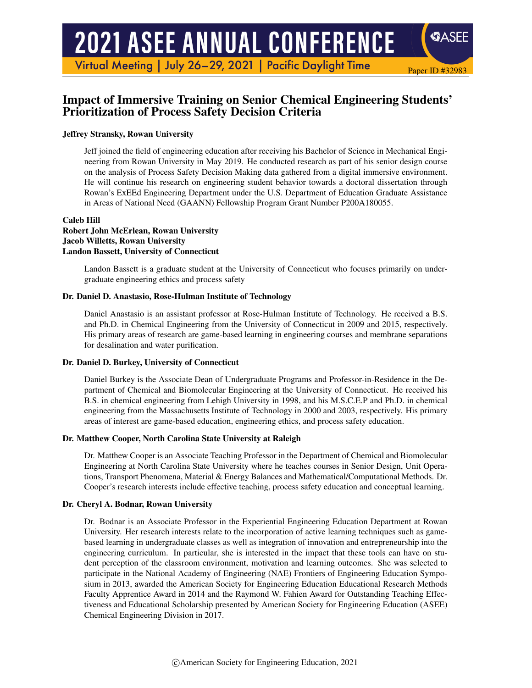# **2021 ASEE ANNUAL CONFERENCE**

Virtual Meeting | July 26-29, 2021 | Pacific Daylight Time

## Impact of Immersive Training on Senior Chemical Engineering Students' Prioritization of Process Safety Decision Criteria

Paper ID #32983

SASEE

#### Jeffrey Stransky, Rowan University

Jeff joined the field of engineering education after receiving his Bachelor of Science in Mechanical Engineering from Rowan University in May 2019. He conducted research as part of his senior design course on the analysis of Process Safety Decision Making data gathered from a digital immersive environment. He will continue his research on engineering student behavior towards a doctoral dissertation through Rowan's ExEEd Engineering Department under the U.S. Department of Education Graduate Assistance in Areas of National Need (GAANN) Fellowship Program Grant Number P200A180055.

#### Caleb Hill Robert John McErlean, Rowan University Jacob Willetts, Rowan University Landon Bassett, University of Connecticut

Landon Bassett is a graduate student at the University of Connecticut who focuses primarily on undergraduate engineering ethics and process safety

#### Dr. Daniel D. Anastasio, Rose-Hulman Institute of Technology

Daniel Anastasio is an assistant professor at Rose-Hulman Institute of Technology. He received a B.S. and Ph.D. in Chemical Engineering from the University of Connecticut in 2009 and 2015, respectively. His primary areas of research are game-based learning in engineering courses and membrane separations for desalination and water purification.

#### Dr. Daniel D. Burkey, University of Connecticut

Daniel Burkey is the Associate Dean of Undergraduate Programs and Professor-in-Residence in the Department of Chemical and Biomolecular Engineering at the University of Connecticut. He received his B.S. in chemical engineering from Lehigh University in 1998, and his M.S.C.E.P and Ph.D. in chemical engineering from the Massachusetts Institute of Technology in 2000 and 2003, respectively. His primary areas of interest are game-based education, engineering ethics, and process safety education.

#### Dr. Matthew Cooper, North Carolina State University at Raleigh

Dr. Matthew Cooper is an Associate Teaching Professor in the Department of Chemical and Biomolecular Engineering at North Carolina State University where he teaches courses in Senior Design, Unit Operations, Transport Phenomena, Material & Energy Balances and Mathematical/Computational Methods. Dr. Cooper's research interests include effective teaching, process safety education and conceptual learning.

#### Dr. Cheryl A. Bodnar, Rowan University

Dr. Bodnar is an Associate Professor in the Experiential Engineering Education Department at Rowan University. Her research interests relate to the incorporation of active learning techniques such as gamebased learning in undergraduate classes as well as integration of innovation and entrepreneurship into the engineering curriculum. In particular, she is interested in the impact that these tools can have on student perception of the classroom environment, motivation and learning outcomes. She was selected to participate in the National Academy of Engineering (NAE) Frontiers of Engineering Education Symposium in 2013, awarded the American Society for Engineering Education Educational Research Methods Faculty Apprentice Award in 2014 and the Raymond W. Fahien Award for Outstanding Teaching Effectiveness and Educational Scholarship presented by American Society for Engineering Education (ASEE) Chemical Engineering Division in 2017.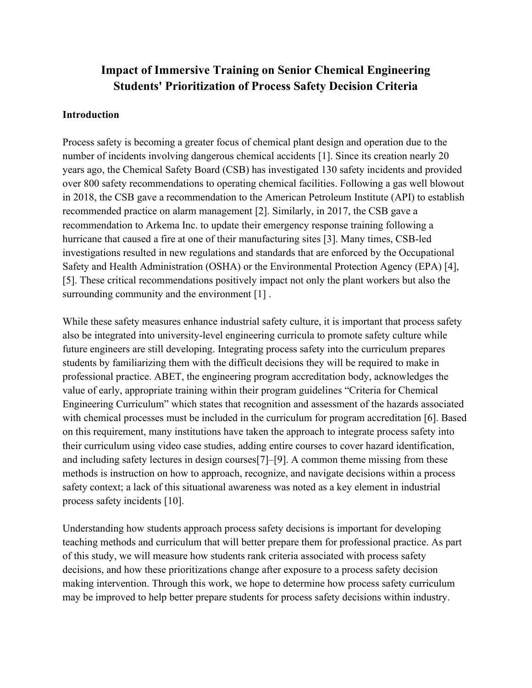# **Impact of Immersive Training on Senior Chemical Engineering Students' Prioritization of Process Safety Decision Criteria**

#### **Introduction**

Process safety is becoming a greater focus of chemical plant design and operation due to the number of incidents involving dangerous chemical accidents [1]. Since its creation nearly 20 years ago, the Chemical Safety Board (CSB) has investigated 130 safety incidents and provided over 800 safety recommendations to operating chemical facilities. Following a gas well blowout in 2018, the CSB gave a recommendation to the American Petroleum Institute (API) to establish recommended practice on alarm management [2]. Similarly, in 2017, the CSB gave a recommendation to Arkema Inc. to update their emergency response training following a hurricane that caused a fire at one of their manufacturing sites [3]. Many times, CSB-led investigations resulted in new regulations and standards that are enforced by the Occupational Safety and Health Administration (OSHA) or the Environmental Protection Agency (EPA) [4], [5]. These critical recommendations positively impact not only the plant workers but also the surrounding community and the environment [1].

While these safety measures enhance industrial safety culture, it is important that process safety also be integrated into university-level engineering curricula to promote safety culture while future engineers are still developing. Integrating process safety into the curriculum prepares students by familiarizing them with the difficult decisions they will be required to make in professional practice. ABET, the engineering program accreditation body, acknowledges the value of early, appropriate training within their program guidelines "Criteria for Chemical Engineering Curriculum" which states that recognition and assessment of the hazards associated with chemical processes must be included in the curriculum for program accreditation [6]. Based on this requirement, many institutions have taken the approach to integrate process safety into their curriculum using video case studies, adding entire courses to cover hazard identification, and including safety lectures in design courses[7]–[9]. A common theme missing from these methods is instruction on how to approach, recognize, and navigate decisions within a process safety context; a lack of this situational awareness was noted as a key element in industrial process safety incidents [10].

Understanding how students approach process safety decisions is important for developing teaching methods and curriculum that will better prepare them for professional practice. As part of this study, we will measure how students rank criteria associated with process safety decisions, and how these prioritizations change after exposure to a process safety decision making intervention. Through this work, we hope to determine how process safety curriculum may be improved to help better prepare students for process safety decisions within industry.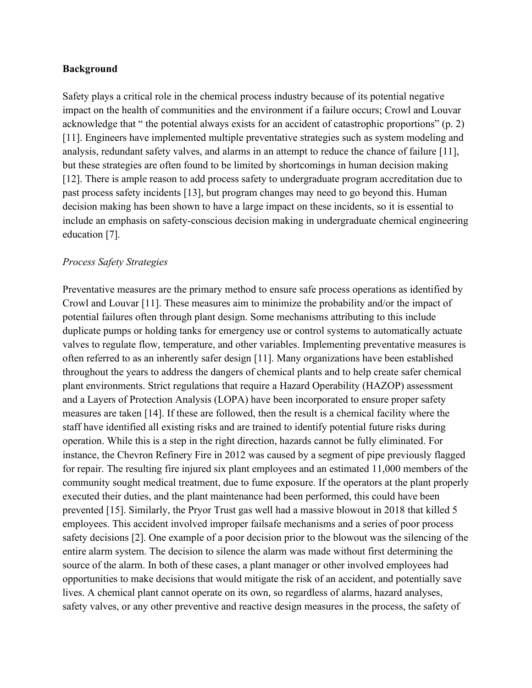#### **Background**

Safety plays a critical role in the chemical process industry because of its potential negative impact on the health of communities and the environment if a failure occurs; Crowl and Louvar acknowledge that " the potential always exists for an accident of catastrophic proportions" (p. 2) [11]. Engineers have implemented multiple preventative strategies such as system modeling and analysis, redundant safety valves, and alarms in an attempt to reduce the chance of failure [11], but these strategies are often found to be limited by shortcomings in human decision making [12]. There is ample reason to add process safety to undergraduate program accreditation due to past process safety incidents [13], but program changes may need to go beyond this. Human decision making has been shown to have a large impact on these incidents, so it is essential to include an emphasis on safety-conscious decision making in undergraduate chemical engineering education [7].

#### *Process Safety Strategies*

Preventative measures are the primary method to ensure safe process operations as identified by Crowl and Louvar [11]. These measures aim to minimize the probability and/or the impact of potential failures often through plant design. Some mechanisms attributing to this include duplicate pumps or holding tanks for emergency use or control systems to automatically actuate valves to regulate flow, temperature, and other variables. Implementing preventative measures is often referred to as an inherently safer design [11]. Many organizations have been established throughout the years to address the dangers of chemical plants and to help create safer chemical plant environments. Strict regulations that require a Hazard Operability (HAZOP) assessment and a Layers of Protection Analysis (LOPA) have been incorporated to ensure proper safety measures are taken [14]. If these are followed, then the result is a chemical facility where the staff have identified all existing risks and are trained to identify potential future risks during operation. While this is a step in the right direction, hazards cannot be fully eliminated. For instance, the Chevron Refinery Fire in 2012 was caused by a segment of pipe previously flagged for repair. The resulting fire injured six plant employees and an estimated 11,000 members of the community sought medical treatment, due to fume exposure. If the operators at the plant properly executed their duties, and the plant maintenance had been performed, this could have been prevented [15]. Similarly, the Pryor Trust gas well had a massive blowout in 2018 that killed 5 employees. This accident involved improper failsafe mechanisms and a series of poor process safety decisions [2]. One example of a poor decision prior to the blowout was the silencing of the entire alarm system. The decision to silence the alarm was made without first determining the source of the alarm. In both of these cases, a plant manager or other involved employees had opportunities to make decisions that would mitigate the risk of an accident, and potentially save lives. A chemical plant cannot operate on its own, so regardless of alarms, hazard analyses, safety valves, or any other preventive and reactive design measures in the process, the safety of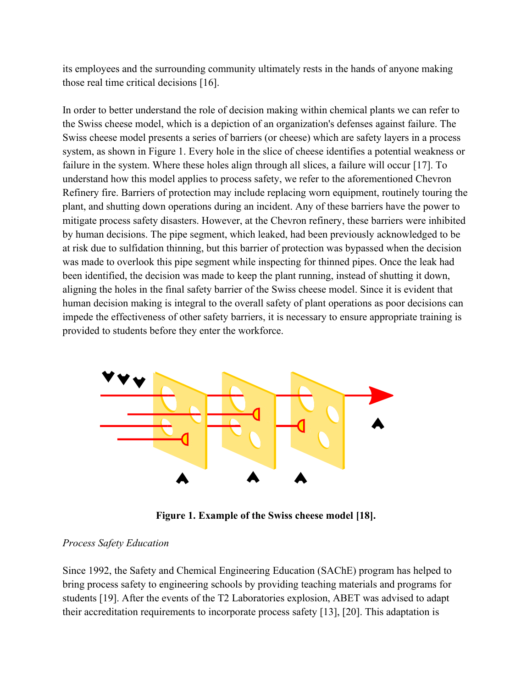its employees and the surrounding community ultimately rests in the hands of anyone making those real time critical decisions [16].

In order to better understand the role of decision making within chemical plants we can refer to the Swiss cheese model, which is a depiction of an organization's defenses against failure. The Swiss cheese model presents a series of barriers (or cheese) which are safety layers in a process system, as shown in Figure 1. Every hole in the slice of cheese identifies a potential weakness or failure in the system. Where these holes align through all slices, a failure will occur [17]. To understand how this model applies to process safety, we refer to the aforementioned Chevron Refinery fire. Barriers of protection may include replacing worn equipment, routinely touring the plant, and shutting down operations during an incident. Any of these barriers have the power to mitigate process safety disasters. However, at the Chevron refinery, these barriers were inhibited by human decisions. The pipe segment, which leaked, had been previously acknowledged to be at risk due to sulfidation thinning, but this barrier of protection was bypassed when the decision was made to overlook this pipe segment while inspecting for thinned pipes. Once the leak had been identified, the decision was made to keep the plant running, instead of shutting it down, aligning the holes in the final safety barrier of the Swiss cheese model. Since it is evident that human decision making is integral to the overall safety of plant operations as poor decisions can impede the effectiveness of other safety barriers, it is necessary to ensure appropriate training is provided to students before they enter the workforce.



**Figure 1. Example of the Swiss cheese model [18].** 

## *Process Safety Education*

Since 1992, the Safety and Chemical Engineering Education (SAChE) program has helped to bring process safety to engineering schools by providing teaching materials and programs for students [19]. After the events of the T2 Laboratories explosion, ABET was advised to adapt their accreditation requirements to incorporate process safety [13], [20]. This adaptation is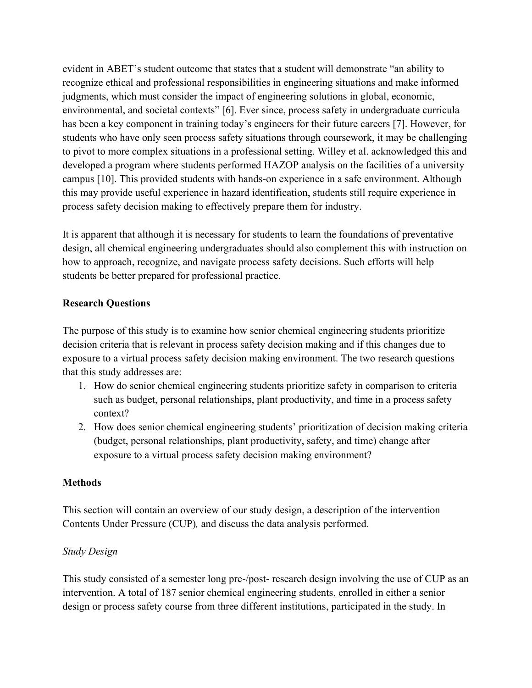evident in ABET's student outcome that states that a student will demonstrate "an ability to recognize ethical and professional responsibilities in engineering situations and make informed judgments, which must consider the impact of engineering solutions in global, economic, environmental, and societal contexts" [6]. Ever since, process safety in undergraduate curricula has been a key component in training today's engineers for their future careers [7]. However, for students who have only seen process safety situations through coursework, it may be challenging to pivot to more complex situations in a professional setting. Willey et al. acknowledged this and developed a program where students performed HAZOP analysis on the facilities of a university campus [10]. This provided students with hands-on experience in a safe environment. Although this may provide useful experience in hazard identification, students still require experience in process safety decision making to effectively prepare them for industry.

It is apparent that although it is necessary for students to learn the foundations of preventative design, all chemical engineering undergraduates should also complement this with instruction on how to approach, recognize, and navigate process safety decisions. Such efforts will help students be better prepared for professional practice.

#### **Research Questions**

The purpose of this study is to examine how senior chemical engineering students prioritize decision criteria that is relevant in process safety decision making and if this changes due to exposure to a virtual process safety decision making environment. The two research questions that this study addresses are:

- 1. How do senior chemical engineering students prioritize safety in comparison to criteria such as budget, personal relationships, plant productivity, and time in a process safety context?
- 2. How does senior chemical engineering students' prioritization of decision making criteria (budget, personal relationships, plant productivity, safety, and time) change after exposure to a virtual process safety decision making environment?

## **Methods**

This section will contain an overview of our study design, a description of the intervention Contents Under Pressure (CUP)*,* and discuss the data analysis performed.

## *Study Design*

This study consisted of a semester long pre-/post- research design involving the use of CUP as an intervention. A total of 187 senior chemical engineering students, enrolled in either a senior design or process safety course from three different institutions, participated in the study. In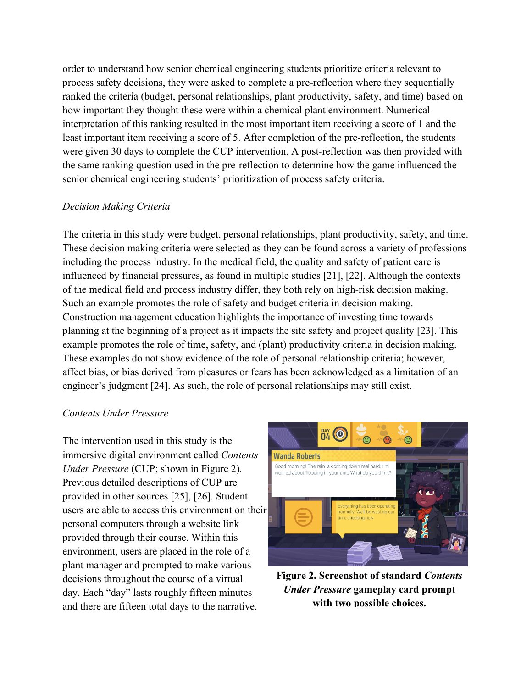order to understand how senior chemical engineering students prioritize criteria relevant to process safety decisions, they were asked to complete a pre-reflection where they sequentially ranked the criteria (budget, personal relationships, plant productivity, safety, and time) based on how important they thought these were within a chemical plant environment. Numerical interpretation of this ranking resulted in the most important item receiving a score of 1 and the least important item receiving a score of 5. After completion of the pre-reflection, the students were given 30 days to complete the CUP intervention. A post-reflection was then provided with the same ranking question used in the pre-reflection to determine how the game influenced the senior chemical engineering students' prioritization of process safety criteria.

#### *Decision Making Criteria*

The criteria in this study were budget, personal relationships, plant productivity, safety, and time. These decision making criteria were selected as they can be found across a variety of professions including the process industry. In the medical field, the quality and safety of patient care is influenced by financial pressures, as found in multiple studies [21], [22]. Although the contexts of the medical field and process industry differ, they both rely on high-risk decision making. Such an example promotes the role of safety and budget criteria in decision making. Construction management education highlights the importance of investing time towards planning at the beginning of a project as it impacts the site safety and project quality [23]. This example promotes the role of time, safety, and (plant) productivity criteria in decision making. These examples do not show evidence of the role of personal relationship criteria; however, affect bias, or bias derived from pleasures or fears has been acknowledged as a limitation of an engineer's judgment [24]. As such, the role of personal relationships may still exist.

#### *Contents Under Pressure*

The intervention used in this study is the immersive digital environment called *Contents Under Pressure* (CUP; shown in Figure 2)*.*  Previous detailed descriptions of CUP are provided in other sources [25], [26]. Student users are able to access this environment on their personal computers through a website link provided through their course. Within this environment, users are placed in the role of a plant manager and prompted to make various decisions throughout the course of a virtual day. Each "day" lasts roughly fifteen minutes and there are fifteen total days to the narrative.



**Figure 2. Screenshot of standard** *Contents Under Pressure* **gameplay card prompt with two possible choices.**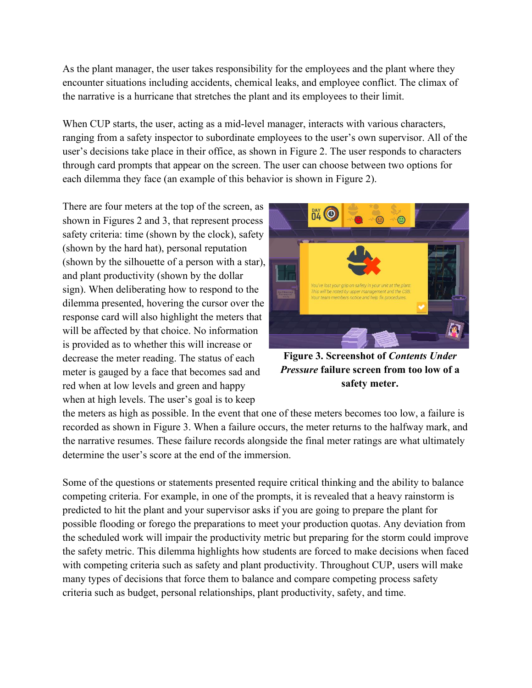As the plant manager, the user takes responsibility for the employees and the plant where they encounter situations including accidents, chemical leaks, and employee conflict. The climax of the narrative is a hurricane that stretches the plant and its employees to their limit.

When CUP starts, the user, acting as a mid-level manager, interacts with various characters, ranging from a safety inspector to subordinate employees to the user's own supervisor. All of the user's decisions take place in their office, as shown in Figure 2. The user responds to characters through card prompts that appear on the screen. The user can choose between two options for each dilemma they face (an example of this behavior is shown in Figure 2).

There are four meters at the top of the screen, as shown in Figures 2 and 3, that represent process safety criteria: time (shown by the clock), safety (shown by the hard hat), personal reputation (shown by the silhouette of a person with a star), and plant productivity (shown by the dollar sign). When deliberating how to respond to the dilemma presented, hovering the cursor over the response card will also highlight the meters that will be affected by that choice. No information is provided as to whether this will increase or decrease the meter reading. The status of each meter is gauged by a face that becomes sad and red when at low levels and green and happy when at high levels. The user's goal is to keep



**Figure 3. Screenshot of** *Contents Under Pressure* **failure screen from too low of a safety meter.** 

the meters as high as possible. In the event that one of these meters becomes too low, a failure is recorded as shown in Figure 3. When a failure occurs, the meter returns to the halfway mark, and the narrative resumes. These failure records alongside the final meter ratings are what ultimately determine the user's score at the end of the immersion.

Some of the questions or statements presented require critical thinking and the ability to balance competing criteria. For example, in one of the prompts, it is revealed that a heavy rainstorm is predicted to hit the plant and your supervisor asks if you are going to prepare the plant for possible flooding or forego the preparations to meet your production quotas. Any deviation from the scheduled work will impair the productivity metric but preparing for the storm could improve the safety metric. This dilemma highlights how students are forced to make decisions when faced with competing criteria such as safety and plant productivity. Throughout CUP, users will make many types of decisions that force them to balance and compare competing process safety criteria such as budget, personal relationships, plant productivity, safety, and time.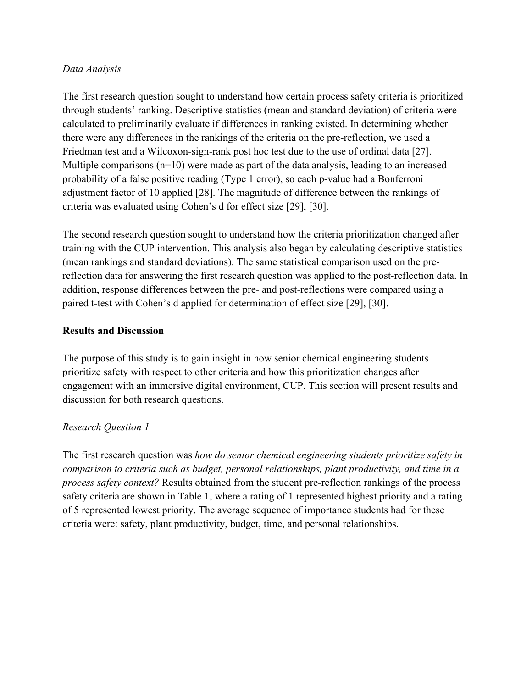### *Data Analysis*

The first research question sought to understand how certain process safety criteria is prioritized through students' ranking. Descriptive statistics (mean and standard deviation) of criteria were calculated to preliminarily evaluate if differences in ranking existed. In determining whether there were any differences in the rankings of the criteria on the pre-reflection, we used a Friedman test and a Wilcoxon-sign-rank post hoc test due to the use of ordinal data [27]. Multiple comparisons  $(n=10)$  were made as part of the data analysis, leading to an increased probability of a false positive reading (Type 1 error), so each p-value had a Bonferroni adjustment factor of 10 applied [28]. The magnitude of difference between the rankings of criteria was evaluated using Cohen's d for effect size [29], [30].

The second research question sought to understand how the criteria prioritization changed after training with the CUP intervention. This analysis also began by calculating descriptive statistics (mean rankings and standard deviations). The same statistical comparison used on the prereflection data for answering the first research question was applied to the post-reflection data. In addition, response differences between the pre- and post-reflections were compared using a paired t-test with Cohen's d applied for determination of effect size [29], [30].

#### **Results and Discussion**

The purpose of this study is to gain insight in how senior chemical engineering students prioritize safety with respect to other criteria and how this prioritization changes after engagement with an immersive digital environment, CUP. This section will present results and discussion for both research questions.

## *Research Question 1*

The first research question was *how do senior chemical engineering students prioritize safety in comparison to criteria such as budget, personal relationships, plant productivity, and time in a process safety context?* Results obtained from the student pre-reflection rankings of the process safety criteria are shown in Table 1, where a rating of 1 represented highest priority and a rating of 5 represented lowest priority. The average sequence of importance students had for these criteria were: safety, plant productivity, budget, time, and personal relationships.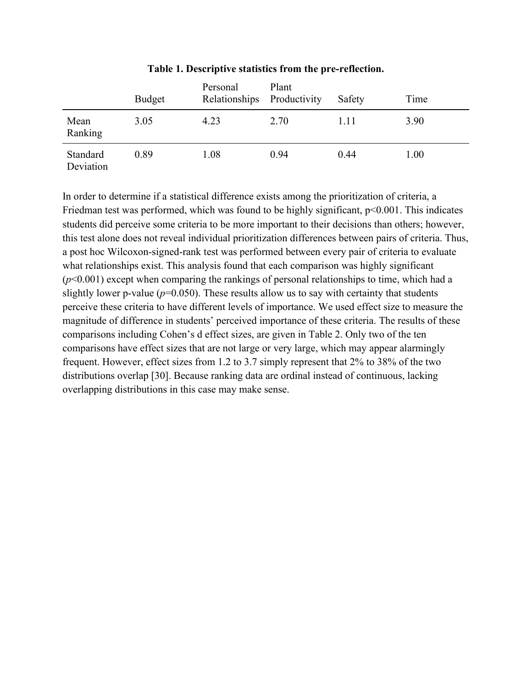|                       | <b>Budget</b> | Personal<br>Relationships Productivity | Plant | Safety | Time |
|-----------------------|---------------|----------------------------------------|-------|--------|------|
| Mean<br>Ranking       | 3.05          | 4.23                                   | 2.70  | 1.11   | 3.90 |
| Standard<br>Deviation | 0.89          | 1.08                                   | 0.94  | 0.44   | 1.00 |

#### **Table 1. Descriptive statistics from the pre-reflection.**

In order to determine if a statistical difference exists among the prioritization of criteria, a Friedman test was performed, which was found to be highly significant,  $p<0.001$ . This indicates students did perceive some criteria to be more important to their decisions than others; however, this test alone does not reveal individual prioritization differences between pairs of criteria. Thus, a post hoc Wilcoxon-signed-rank test was performed between every pair of criteria to evaluate what relationships exist. This analysis found that each comparison was highly significant (*p*<0.001) except when comparing the rankings of personal relationships to time, which had a slightly lower p-value ( $p=0.050$ ). These results allow us to say with certainty that students perceive these criteria to have different levels of importance. We used effect size to measure the magnitude of difference in students' perceived importance of these criteria. The results of these comparisons including Cohen's d effect sizes, are given in Table 2. Only two of the ten comparisons have effect sizes that are not large or very large, which may appear alarmingly frequent. However, effect sizes from 1.2 to 3.7 simply represent that 2% to 38% of the two distributions overlap [30]. Because ranking data are ordinal instead of continuous, lacking overlapping distributions in this case may make sense.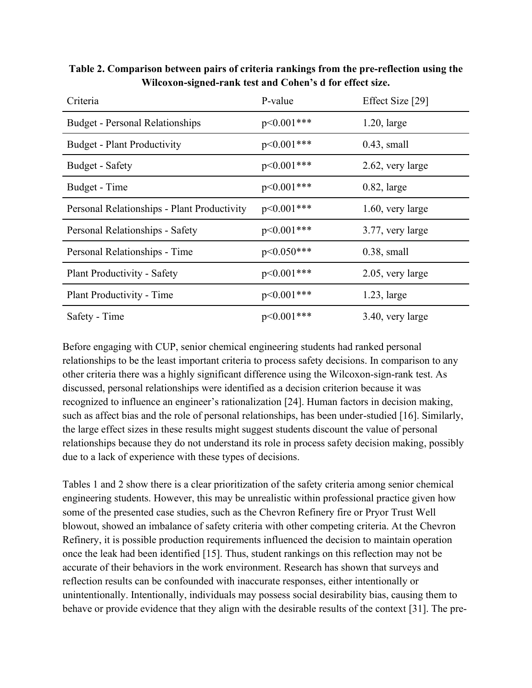| Table 2. Comparison between pairs of criteria rankings from the pre-reflection using the |  |
|------------------------------------------------------------------------------------------|--|
| Wilcoxon-signed-rank test and Cohen's d for effect size.                                 |  |

| Criteria                                    | P-value         | Effect Size [29] |
|---------------------------------------------|-----------------|------------------|
| <b>Budget - Personal Relationships</b>      | $p<0.001***$    | $1.20$ , large   |
| <b>Budget - Plant Productivity</b>          | $p<0.001***$    | $0.43$ , small   |
| Budget - Safety                             | $p<0.001***$    | 2.62, very large |
| Budget - Time                               | $p<0.001***$    | $0.82$ , large   |
| Personal Relationships - Plant Productivity | $p<0.001***$    | 1.60, very large |
| Personal Relationships - Safety             | $p<0.001***$    | 3.77, very large |
| Personal Relationships - Time               | $p < 0.050$ *** | $0.38$ , small   |
| Plant Productivity - Safety                 | $p<0.001***$    | 2.05, very large |
| Plant Productivity - Time                   | $p<0.001***$    | $1.23$ , large   |
| Safety - Time                               | $p<0.001***$    | 3.40, very large |

Before engaging with CUP, senior chemical engineering students had ranked personal relationships to be the least important criteria to process safety decisions. In comparison to any other criteria there was a highly significant difference using the Wilcoxon-sign-rank test. As discussed, personal relationships were identified as a decision criterion because it was recognized to influence an engineer's rationalization [24]. Human factors in decision making, such as affect bias and the role of personal relationships, has been under-studied [16]. Similarly, the large effect sizes in these results might suggest students discount the value of personal relationships because they do not understand its role in process safety decision making, possibly due to a lack of experience with these types of decisions.

Tables 1 and 2 show there is a clear prioritization of the safety criteria among senior chemical engineering students. However, this may be unrealistic within professional practice given how some of the presented case studies, such as the Chevron Refinery fire or Pryor Trust Well blowout, showed an imbalance of safety criteria with other competing criteria. At the Chevron Refinery, it is possible production requirements influenced the decision to maintain operation once the leak had been identified [15]. Thus, student rankings on this reflection may not be accurate of their behaviors in the work environment. Research has shown that surveys and reflection results can be confounded with inaccurate responses, either intentionally or unintentionally. Intentionally, individuals may possess social desirability bias, causing them to behave or provide evidence that they align with the desirable results of the context [31]. The pre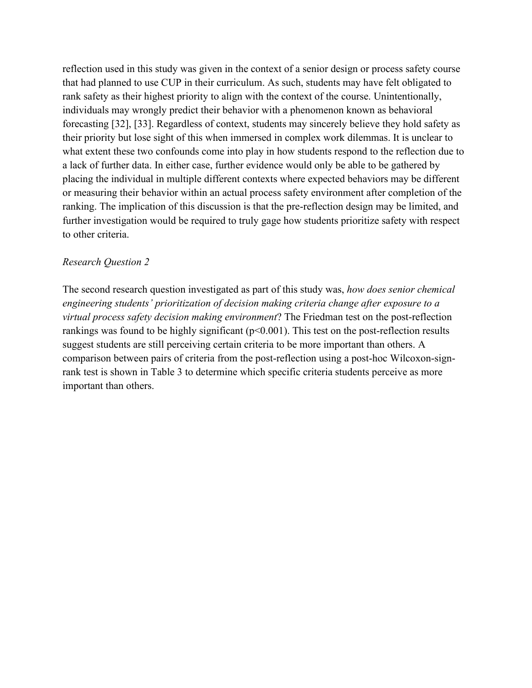reflection used in this study was given in the context of a senior design or process safety course that had planned to use CUP in their curriculum. As such, students may have felt obligated to rank safety as their highest priority to align with the context of the course. Unintentionally, individuals may wrongly predict their behavior with a phenomenon known as behavioral forecasting [32], [33]. Regardless of context, students may sincerely believe they hold safety as their priority but lose sight of this when immersed in complex work dilemmas. It is unclear to what extent these two confounds come into play in how students respond to the reflection due to a lack of further data. In either case, further evidence would only be able to be gathered by placing the individual in multiple different contexts where expected behaviors may be different or measuring their behavior within an actual process safety environment after completion of the ranking. The implication of this discussion is that the pre-reflection design may be limited, and further investigation would be required to truly gage how students prioritize safety with respect to other criteria.

#### *Research Question 2*

The second research question investigated as part of this study was, *how does senior chemical engineering students' prioritization of decision making criteria change after exposure to a virtual process safety decision making environment*? The Friedman test on the post-reflection rankings was found to be highly significant  $(p<0.001)$ . This test on the post-reflection results suggest students are still perceiving certain criteria to be more important than others. A comparison between pairs of criteria from the post-reflection using a post-hoc Wilcoxon-signrank test is shown in Table 3 to determine which specific criteria students perceive as more important than others.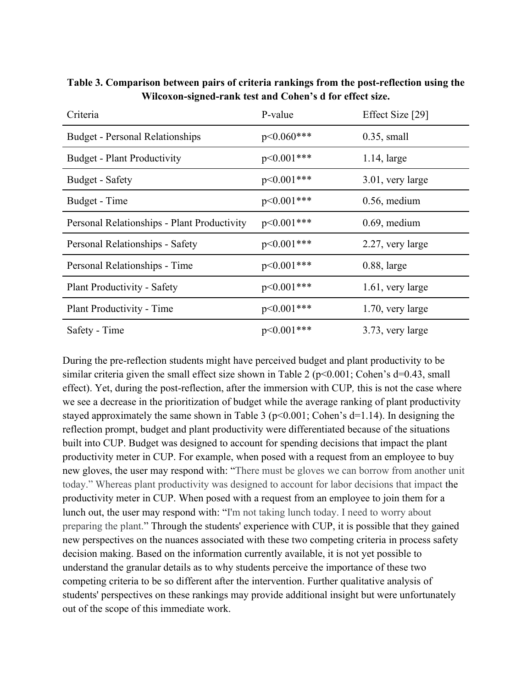| Criteria                                    | P-value         | Effect Size [29] |
|---------------------------------------------|-----------------|------------------|
| <b>Budget - Personal Relationships</b>      | $p < 0.060$ *** | $0.35$ , small   |
| <b>Budget - Plant Productivity</b>          | $p<0.001***$    | $1.14$ , large   |
| Budget - Safety                             | $p<0.001***$    | 3.01, very large |
| Budget - Time                               | $p<0.001***$    | $0.56$ , medium  |
| Personal Relationships - Plant Productivity | $p<0.001***$    | $0.69$ , medium  |
| Personal Relationships - Safety             | $p<0.001***$    | 2.27, very large |
| Personal Relationships - Time               | $p<0.001***$    | $0.88$ , large   |
| <b>Plant Productivity - Safety</b>          | $p<0.001***$    | 1.61, very large |
| Plant Productivity - Time                   | $p<0.001***$    | 1.70, very large |
| Safety - Time                               | $p<0.001***$    | 3.73, very large |

**Table 3. Comparison between pairs of criteria rankings from the post-reflection using the Wilcoxon-signed-rank test and Cohen's d for effect size.**

During the pre-reflection students might have perceived budget and plant productivity to be similar criteria given the small effect size shown in Table 2 ( $p<0.001$ ; Cohen's d=0.43, small effect). Yet, during the post-reflection, after the immersion with CUP*,* this is not the case where we see a decrease in the prioritization of budget while the average ranking of plant productivity stayed approximately the same shown in Table 3 ( $p<0.001$ ; Cohen's d=1.14). In designing the reflection prompt, budget and plant productivity were differentiated because of the situations built into CUP. Budget was designed to account for spending decisions that impact the plant productivity meter in CUP. For example, when posed with a request from an employee to buy new gloves, the user may respond with: "There must be gloves we can borrow from another unit today." Whereas plant productivity was designed to account for labor decisions that impact the productivity meter in CUP. When posed with a request from an employee to join them for a lunch out, the user may respond with: "I'm not taking lunch today. I need to worry about preparing the plant." Through the students' experience with CUP, it is possible that they gained new perspectives on the nuances associated with these two competing criteria in process safety decision making. Based on the information currently available, it is not yet possible to understand the granular details as to why students perceive the importance of these two competing criteria to be so different after the intervention. Further qualitative analysis of students' perspectives on these rankings may provide additional insight but were unfortunately out of the scope of this immediate work.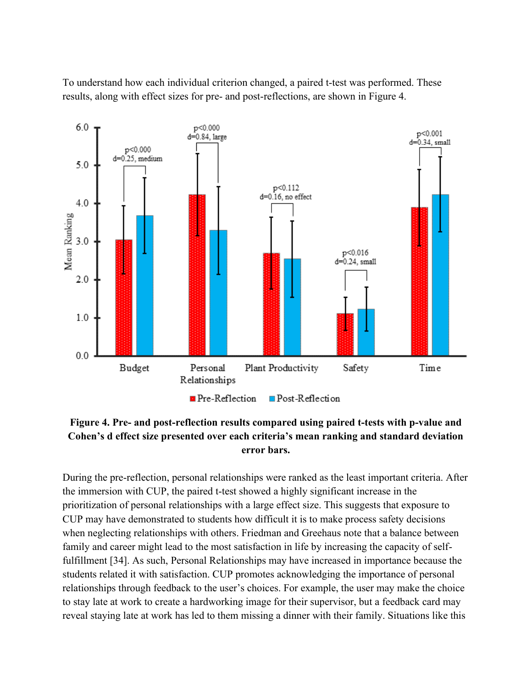To understand how each individual criterion changed, a paired t-test was performed. These results, along with effect sizes for pre- and post-reflections, are shown in Figure 4.



## **Figure 4. Pre- and post-reflection results compared using paired t-tests with p-value and Cohen's d effect size presented over each criteria's mean ranking and standard deviation error bars.**

During the pre-reflection, personal relationships were ranked as the least important criteria. After the immersion with CUP, the paired t-test showed a highly significant increase in the prioritization of personal relationships with a large effect size. This suggests that exposure to CUP may have demonstrated to students how difficult it is to make process safety decisions when neglecting relationships with others. Friedman and Greehaus note that a balance between family and career might lead to the most satisfaction in life by increasing the capacity of selffulfillment [34]. As such, Personal Relationships may have increased in importance because the students related it with satisfaction. CUP promotes acknowledging the importance of personal relationships through feedback to the user's choices. For example, the user may make the choice to stay late at work to create a hardworking image for their supervisor, but a feedback card may reveal staying late at work has led to them missing a dinner with their family. Situations like this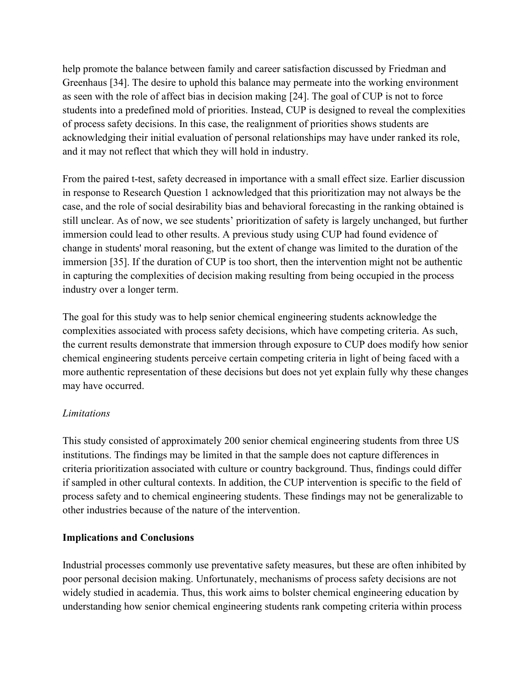help promote the balance between family and career satisfaction discussed by Friedman and Greenhaus [34]. The desire to uphold this balance may permeate into the working environment as seen with the role of affect bias in decision making [24]. The goal of CUP is not to force students into a predefined mold of priorities. Instead, CUP is designed to reveal the complexities of process safety decisions. In this case, the realignment of priorities shows students are acknowledging their initial evaluation of personal relationships may have under ranked its role, and it may not reflect that which they will hold in industry.

From the paired t-test, safety decreased in importance with a small effect size. Earlier discussion in response to Research Question 1 acknowledged that this prioritization may not always be the case, and the role of social desirability bias and behavioral forecasting in the ranking obtained is still unclear. As of now, we see students' prioritization of safety is largely unchanged, but further immersion could lead to other results. A previous study using CUP had found evidence of change in students' moral reasoning, but the extent of change was limited to the duration of the immersion [35]. If the duration of CUP is too short, then the intervention might not be authentic in capturing the complexities of decision making resulting from being occupied in the process industry over a longer term.

The goal for this study was to help senior chemical engineering students acknowledge the complexities associated with process safety decisions, which have competing criteria. As such, the current results demonstrate that immersion through exposure to CUP does modify how senior chemical engineering students perceive certain competing criteria in light of being faced with a more authentic representation of these decisions but does not yet explain fully why these changes may have occurred.

## *Limitations*

This study consisted of approximately 200 senior chemical engineering students from three US institutions. The findings may be limited in that the sample does not capture differences in criteria prioritization associated with culture or country background. Thus, findings could differ if sampled in other cultural contexts. In addition, the CUP intervention is specific to the field of process safety and to chemical engineering students. These findings may not be generalizable to other industries because of the nature of the intervention.

## **Implications and Conclusions**

Industrial processes commonly use preventative safety measures, but these are often inhibited by poor personal decision making. Unfortunately, mechanisms of process safety decisions are not widely studied in academia. Thus, this work aims to bolster chemical engineering education by understanding how senior chemical engineering students rank competing criteria within process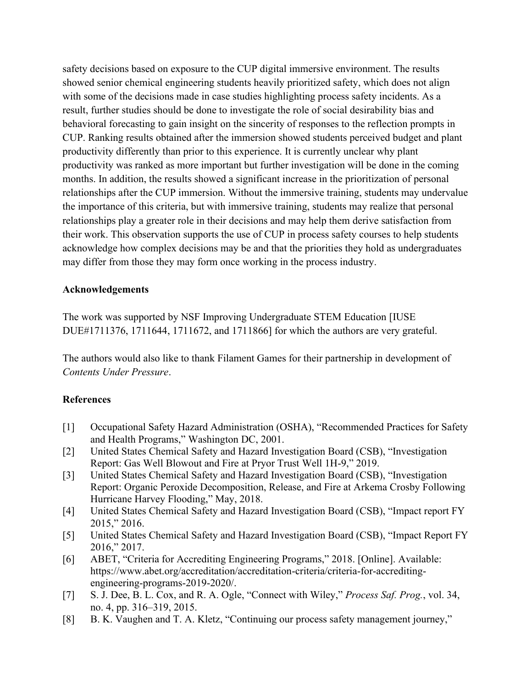safety decisions based on exposure to the CUP digital immersive environment. The results showed senior chemical engineering students heavily prioritized safety, which does not align with some of the decisions made in case studies highlighting process safety incidents. As a result, further studies should be done to investigate the role of social desirability bias and behavioral forecasting to gain insight on the sincerity of responses to the reflection prompts in CUP. Ranking results obtained after the immersion showed students perceived budget and plant productivity differently than prior to this experience. It is currently unclear why plant productivity was ranked as more important but further investigation will be done in the coming months. In addition, the results showed a significant increase in the prioritization of personal relationships after the CUP immersion. Without the immersive training, students may undervalue the importance of this criteria, but with immersive training, students may realize that personal relationships play a greater role in their decisions and may help them derive satisfaction from their work. This observation supports the use of CUP in process safety courses to help students acknowledge how complex decisions may be and that the priorities they hold as undergraduates may differ from those they may form once working in the process industry.

#### **Acknowledgements**

The work was supported by NSF Improving Undergraduate STEM Education [IUSE DUE#1711376, 1711644, 1711672, and 1711866] for which the authors are very grateful.

The authors would also like to thank Filament Games for their partnership in development of *Contents Under Pressure*.

## **References**

- [1] Occupational Safety Hazard Administration (OSHA), "Recommended Practices for Safety and Health Programs," Washington DC, 2001.
- [2] United States Chemical Safety and Hazard Investigation Board (CSB), "Investigation Report: Gas Well Blowout and Fire at Pryor Trust Well 1H-9," 2019.
- [3] United States Chemical Safety and Hazard Investigation Board (CSB), "Investigation Report: Organic Peroxide Decomposition, Release, and Fire at Arkema Crosby Following Hurricane Harvey Flooding," May, 2018.
- [4] United States Chemical Safety and Hazard Investigation Board (CSB), "Impact report FY 2015," 2016.
- [5] United States Chemical Safety and Hazard Investigation Board (CSB), "Impact Report FY 2016," 2017.
- [6] ABET, "Criteria for Accrediting Engineering Programs," 2018. [Online]. Available: https://www.abet.org/accreditation/accreditation-criteria/criteria-for-accreditingengineering-programs-2019-2020/.
- [7] S. J. Dee, B. L. Cox, and R. A. Ogle, "Connect with Wiley," *Process Saf. Prog.*, vol. 34, no. 4, pp. 316–319, 2015.
- [8] B. K. Vaughen and T. A. Kletz, "Continuing our process safety management journey,"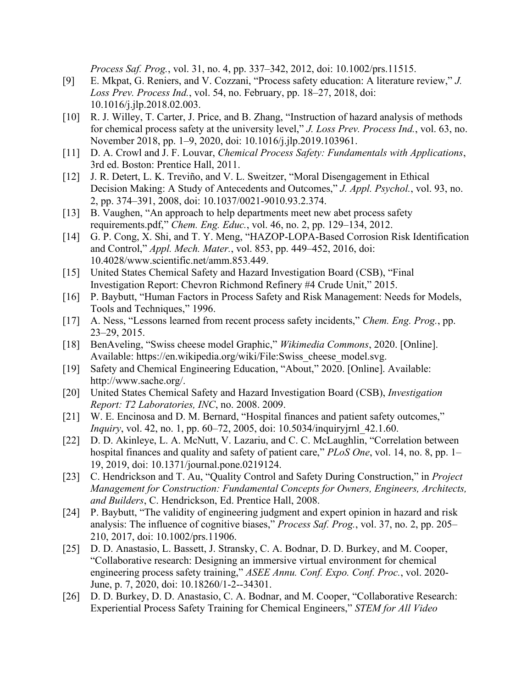*Process Saf. Prog.*, vol. 31, no. 4, pp. 337–342, 2012, doi: 10.1002/prs.11515.

- [9] E. Mkpat, G. Reniers, and V. Cozzani, "Process safety education: A literature review," *J. Loss Prev. Process Ind.*, vol. 54, no. February, pp. 18–27, 2018, doi: 10.1016/j.jlp.2018.02.003.
- [10] R. J. Willey, T. Carter, J. Price, and B. Zhang, "Instruction of hazard analysis of methods for chemical process safety at the university level," *J. Loss Prev. Process Ind.*, vol. 63, no. November 2018, pp. 1–9, 2020, doi: 10.1016/j.jlp.2019.103961.
- [11] D. A. Crowl and J. F. Louvar, *Chemical Process Safety: Fundamentals with Applications*, 3rd ed. Boston: Prentice Hall, 2011.
- [12] J. R. Detert, L. K. Treviño, and V. L. Sweitzer, "Moral Disengagement in Ethical Decision Making: A Study of Antecedents and Outcomes," *J. Appl. Psychol.*, vol. 93, no. 2, pp. 374–391, 2008, doi: 10.1037/0021-9010.93.2.374.
- [13] B. Vaughen, "An approach to help departments meet new abet process safety requirements.pdf," *Chem. Eng. Educ.*, vol. 46, no. 2, pp. 129–134, 2012.
- [14] G. P. Cong, X. Shi, and T. Y. Meng, "HAZOP-LOPA-Based Corrosion Risk Identification and Control," *Appl. Mech. Mater.*, vol. 853, pp. 449–452, 2016, doi: 10.4028/www.scientific.net/amm.853.449.
- [15] United States Chemical Safety and Hazard Investigation Board (CSB), "Final Investigation Report: Chevron Richmond Refinery #4 Crude Unit," 2015.
- [16] P. Baybutt, "Human Factors in Process Safety and Risk Management: Needs for Models, Tools and Techniques," 1996.
- [17] A. Ness, "Lessons learned from recent process safety incidents," *Chem. Eng. Prog.*, pp. 23–29, 2015.
- [18] BenAveling, "Swiss cheese model Graphic," *Wikimedia Commons*, 2020. [Online]. Available: https://en.wikipedia.org/wiki/File:Swiss\_cheese\_model.svg.
- [19] Safety and Chemical Engineering Education, "About," 2020. [Online]. Available: http://www.sache.org/.
- [20] United States Chemical Safety and Hazard Investigation Board (CSB), *Investigation Report: T2 Laboratories, INC*, no. 2008. 2009.
- [21] W. E. Encinosa and D. M. Bernard, "Hospital finances and patient safety outcomes," *Inquiry*, vol. 42, no. 1, pp. 60–72, 2005, doi: 10.5034/inquiryjrnl 42.1.60.
- [22] D. D. Akinleye, L. A. McNutt, V. Lazariu, and C. C. McLaughlin, "Correlation between hospital finances and quality and safety of patient care," *PLoS One*, vol. 14, no. 8, pp. 1– 19, 2019, doi: 10.1371/journal.pone.0219124.
- [23] C. Hendrickson and T. Au, "Quality Control and Safety During Construction," in *Project Management for Construction: Fundamental Concepts for Owners, Engineers, Architects, and Builders*, C. Hendrickson, Ed. Prentice Hall, 2008.
- [24] P. Baybutt, "The validity of engineering judgment and expert opinion in hazard and risk analysis: The influence of cognitive biases," *Process Saf. Prog.*, vol. 37, no. 2, pp. 205– 210, 2017, doi: 10.1002/prs.11906.
- [25] D. D. Anastasio, L. Bassett, J. Stransky, C. A. Bodnar, D. D. Burkey, and M. Cooper, "Collaborative research: Designing an immersive virtual environment for chemical engineering process safety training," *ASEE Annu. Conf. Expo. Conf. Proc.*, vol. 2020- June, p. 7, 2020, doi: 10.18260/1-2--34301.
- [26] D. D. Burkey, D. D. Anastasio, C. A. Bodnar, and M. Cooper, "Collaborative Research: Experiential Process Safety Training for Chemical Engineers," *STEM for All Video*